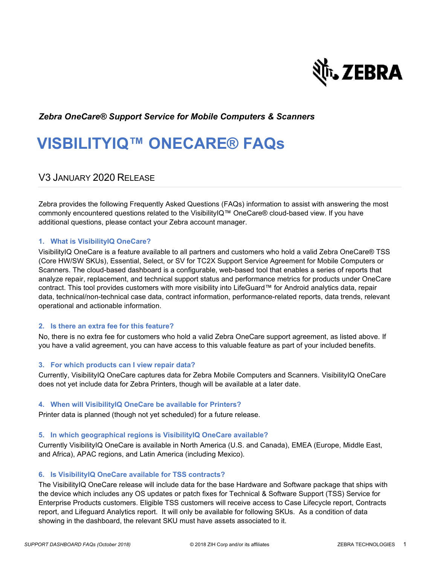

### *Zebra OneCare® Support Service for Mobile Computers & Scanners*

# **VISBILITYIQ™ ONECARE® FAQs**

### V3 JANUARY 2020 RELEASE

Zebra provides the following Frequently Asked Questions (FAQs) information to assist with answering the most commonly encountered questions related to the VisibilityIQ™ OneCare® cloud-based view. If you have additional questions, please contact your Zebra account manager.

#### **1. What is VisibilityIQ OneCare?**

VisibilityIQ OneCare is a feature available to all partners and customers who hold a valid Zebra OneCare® TSS (Core HW/SW SKUs), Essential, Select, or SV for TC2X Support Service Agreement for Mobile Computers or Scanners. The cloud-based dashboard is a configurable, web-based tool that enables a series of reports that analyze repair, replacement, and technical support status and performance metrics for products under OneCare contract. This tool provides customers with more visibility into LifeGuard™ for Android analytics data, repair data, technical/non-technical case data, contract information, performance-related reports, data trends, relevant operational and actionable information.

#### **2. Is there an extra fee for this feature?**

No, there is no extra fee for customers who hold a valid Zebra OneCare support agreement, as listed above. If you have a valid agreement, you can have access to this valuable feature as part of your included benefits.

#### **3. For which products can I view repair data?**

Currently, VisibilityIQ OneCare captures data for Zebra Mobile Computers and Scanners. VisibilityIQ OneCare does not yet include data for Zebra Printers, though will be available at a later date.

#### **4. When will VisibilityIQ OneCare be available for Printers?**

Printer data is planned (though not yet scheduled) for a future release.

#### **5. In which geographical regions is VisibilityIQ OneCare available?**

Currently VisibilityIQ OneCare is available in North America (U.S. and Canada), EMEA (Europe, Middle East, and Africa), APAC regions, and Latin America (including Mexico).

#### **6. Is VisibilityIQ OneCare available for TSS contracts?**

The VisibilityIQ OneCare release will include data for the base Hardware and Software package that ships with the device which includes any OS updates or patch fixes for Technical & Software Support (TSS) Service for Enterprise Products customers. Eligible TSS customers will receive access to Case Lifecycle report, Contracts report, and Lifeguard Analytics report. It will only be available for following SKUs. As a condition of data showing in the dashboard, the relevant SKU must have assets associated to it.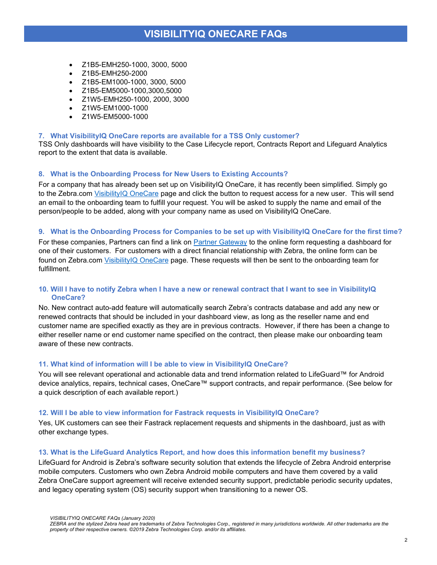- Z1B5-EMH250-1000, 3000, 5000
- Z1B5-EMH250-2000
- Z1B5-EM1000-1000, 3000, 5000
- Z1B5-EM5000-1000,3000,5000
- Z1W5-EMH250-1000, 2000, 3000
- Z1W5-EM1000-1000
- Z1W5-EM5000-1000

#### **7. What VisibilityIQ OneCare reports are available for a TSS Only customer?**

TSS Only dashboards will have visibility to the Case Lifecycle report, Contracts Report and Lifeguard Analytics report to the extent that data is available.

#### **8. What is the Onboarding Process for New Users to Existing Accounts?**

For a company that has already been set up on VisibilityIQ OneCare, it has recently been simplified. Simply go to the Zebra.com [VisibilityIQ OneCare](https://www.zebra.com/us/en/forms/dashboard-request-new-users.html) page and click the button to request access for a new user. This will send an email to the onboarding team to fulfill your request. You will be asked to supply the name and email of the person/people to be added, along with your company name as used on VisibilityIQ OneCare.

#### **9. What is the Onboarding Process for Companies to be set up with VisibilityIQ OneCare for the first time?**

For these companies, Partners can find a link on [Partner Gateway](https://www.zebra.com/us/en/forms/dashboard-request-partner.html) to the online form requesting a dashboard for one of their customers. For customers with a direct financial relationship with Zebra, the online form can be found on Zebra.com [VisibilityIQ OneCare](https://www.zebra.com/us/en/forms/dashboard-request-new-users.html) page. These requests will then be sent to the onboarding team for fulfillment.

#### **10. Will I have to notify Zebra when I have a new or renewal contract that I want to see in VisibilityIQ OneCare?**

No. New contract auto-add feature will automatically search Zebra's contracts database and add any new or renewed contracts that should be included in your dashboard view, as long as the reseller name and end customer name are specified exactly as they are in previous contracts. However, if there has been a change to either reseller name or end customer name specified on the contract, then please make our onboarding team aware of these new contracts.

#### **11. What kind of information will I be able to view in VisibilityIQ OneCare?**

You will see relevant operational and actionable data and trend information related to LifeGuard™ for Android device analytics, repairs, technical cases, OneCare™ support contracts, and repair performance. (See below for a quick description of each available report.)

#### **12. Will I be able to view information for Fastrack requests in VisibilityIQ OneCare?**

Yes, UK customers can see their Fastrack replacement requests and shipments in the dashboard, just as with other exchange types.

#### **13. What is the LifeGuard Analytics Report, and how does this information benefit my business?**

LifeGuard for Android is Zebra's software security solution that extends the lifecycle of Zebra Android enterprise mobile computers. Customers who own Zebra Android mobile computers and have them covered by a valid Zebra OneCare support agreement will receive extended security support, predictable periodic security updates, and legacy operating system (OS) security support when transitioning to a newer OS.

*VISIBILITYIQ ONECARE FAQs (January 2020)*

*ZEBRA and the stylized Zebra head are trademarks of Zebra Technologies Corp., registered in many jurisdictions worldwide. All other trademarks are the property of their respective owners. ©2019 Zebra Technologies Corp. and/or its affiliates.*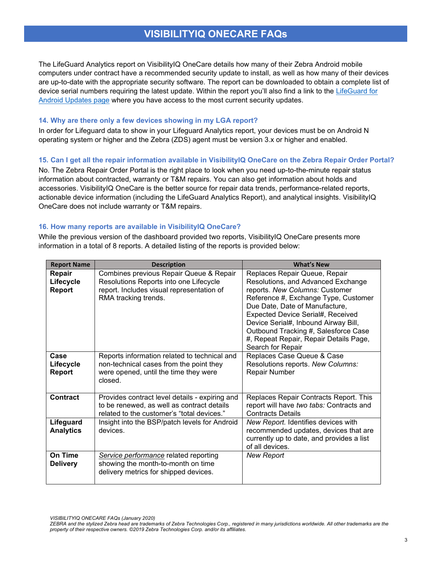The LifeGuard Analytics report on VisibilityIQ OneCare details how many of their Zebra Android mobile computers under contract have a recommended security update to install, as well as how many of their devices are up-to-date with the appropriate security software. The report can be downloaded to obtain a complete list of device serial numbers requiring the latest update. Within the report you'll also find a link to the [LifeGuard for](https://www.zebra.com/us/en/products/software/mobile-computers/lifeguard.html)  [Android Updates page](https://www.zebra.com/us/en/products/software/mobile-computers/lifeguard.html) where you have access to the most current security updates.

#### **14. Why are there only a few devices showing in my LGA report?**

In order for Lifeguard data to show in your Lifeguard Analytics report, your devices must be on Android N operating system or higher and the Zebra (ZDS) agent must be version 3.x or higher and enabled.

#### **15. Can I get all the repair information available in VisibilityIQ OneCare on the Zebra Repair Order Portal?**

No. The Zebra Repair Order Portal is the right place to look when you need up-to-the-minute repair status information about contracted, warranty or T&M repairs. You can also get information about holds and accessories. VisibilityIQ OneCare is the better source for repair data trends, performance-related reports, actionable device information (including the LifeGuard Analytics Report), and analytical insights. VisibilityIQ OneCare does not include warranty or T&M repairs.

#### **16. How many reports are available in VisibilityIQ OneCare?**

While the previous version of the dashboard provided two reports, VisibilityIQ OneCare presents more information in a total of 8 reports. A detailed listing of the reports is provided below:

| <b>Report Name</b>            | <b>Description</b>                                                                                                                                     | <b>What's New</b>                                                                                                                                                                                                                                                                                                                                                   |
|-------------------------------|--------------------------------------------------------------------------------------------------------------------------------------------------------|---------------------------------------------------------------------------------------------------------------------------------------------------------------------------------------------------------------------------------------------------------------------------------------------------------------------------------------------------------------------|
| Repair<br>Lifecycle<br>Report | Combines previous Repair Queue & Repair<br>Resolutions Reports into one Lifecycle<br>report. Includes visual representation of<br>RMA tracking trends. | Replaces Repair Queue, Repair<br>Resolutions, and Advanced Exchange<br>reports. New Columns: Customer<br>Reference #, Exchange Type, Customer<br>Due Date, Date of Manufacture,<br>Expected Device Serial#, Received<br>Device Serial#, Inbound Airway Bill,<br>Outbound Tracking #, Salesforce Case<br>#, Repeat Repair, Repair Details Page,<br>Search for Repair |
| Case<br>Lifecycle<br>Report   | Reports information related to technical and<br>non-technical cases from the point they<br>were opened, until the time they were<br>closed.            | Replaces Case Queue & Case<br>Resolutions reports. New Columns:<br>Repair Number                                                                                                                                                                                                                                                                                    |
| Contract                      | Provides contract level details - expiring and<br>to be renewed, as well as contract details<br>related to the customer's "total devices."             | Replaces Repair Contracts Report. This<br>report will have two tabs: Contracts and<br><b>Contracts Details</b>                                                                                                                                                                                                                                                      |
| Lifeguard<br><b>Analytics</b> | Insight into the BSP/patch levels for Android<br>devices.                                                                                              | New Report. Identifies devices with<br>recommended updates, devices that are<br>currently up to date, and provides a list<br>of all devices.                                                                                                                                                                                                                        |
| On Time<br><b>Delivery</b>    | Service performance related reporting<br>showing the month-to-month on time<br>delivery metrics for shipped devices.                                   | <b>New Report</b>                                                                                                                                                                                                                                                                                                                                                   |

*VISIBILITYIQ ONECARE FAQs (January 2020)*

*ZEBRA and the stylized Zebra head are trademarks of Zebra Technologies Corp., registered in many jurisdictions worldwide. All other trademarks are the property of their respective owners. ©2019 Zebra Technologies Corp. and/or its affiliates.*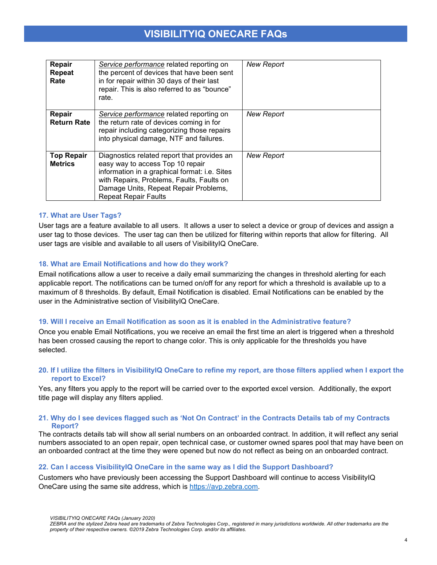| Repair<br><b>Repeat</b><br>Rate     | Service performance related reporting on<br>the percent of devices that have been sent<br>in for repair within 30 days of their last<br>repair. This is also referred to as "bounce"<br>rate.                                                         | <b>New Report</b> |
|-------------------------------------|-------------------------------------------------------------------------------------------------------------------------------------------------------------------------------------------------------------------------------------------------------|-------------------|
| Repair<br><b>Return Rate</b>        | Service performance related reporting on<br>the return rate of devices coming in for<br>repair including categorizing those repairs<br>into physical damage, NTF and failures.                                                                        | <b>New Report</b> |
| <b>Top Repair</b><br><b>Metrics</b> | Diagnostics related report that provides an<br>easy way to access Top 10 repair<br>information in a graphical format: i.e. Sites<br>with Repairs, Problems, Faults, Faults on<br>Damage Units, Repeat Repair Problems,<br><b>Repeat Repair Faults</b> | <b>New Report</b> |

#### **17. What are User Tags?**

User tags are a feature available to all users. It allows a user to select a device or group of devices and assign a user tag to those devices. The user tag can then be utilized for filtering within reports that allow for filtering. All user tags are visible and available to all users of VisibilityIQ OneCare.

#### **18. What are Email Notifications and how do they work?**

Email notifications allow a user to receive a daily email summarizing the changes in threshold alerting for each applicable report. The notifications can be turned on/off for any report for which a threshold is available up to a maximum of 8 thresholds. By default, Email Notification is disabled. Email Notifications can be enabled by the user in the Administrative section of VisibilityIQ OneCare.

#### **19. Will I receive an Email Notification as soon as it is enabled in the Administrative feature?**

Once you enable Email Notifications, you we receive an email the first time an alert is triggered when a threshold has been crossed causing the report to change color. This is only applicable for the thresholds you have selected.

#### **20. If I utilize the filters in VisibilityIQ OneCare to refine my report, are those filters applied when I export the report to Excel?**

Yes, any filters you apply to the report will be carried over to the exported excel version. Additionally, the export title page will display any filters applied.

#### **21. Why do I see devices flagged such as 'Not On Contract' in the Contracts Details tab of my Contracts Report?**

The contracts details tab will show all serial numbers on an onboarded contract. In addition, it will reflect any serial numbers associated to an open repair, open technical case, or customer owned spares pool that may have been on an onboarded contract at the time they were opened but now do not reflect as being on an onboarded contract.

#### **22. Can I access VisibilityIQ OneCare in the same way as I did the Support Dashboard?**

Customers who have previously been accessing the Support Dashboard will continue to access VisibilityIQ OneCare using the same site address, which is [https://avp.zebra.com.](https://avp.zebra.com/)

*VISIBILITYIQ ONECARE FAQs (January 2020)*

*ZEBRA and the stylized Zebra head are trademarks of Zebra Technologies Corp., registered in many jurisdictions worldwide. All other trademarks are the property of their respective owners. ©2019 Zebra Technologies Corp. and/or its affiliates.*